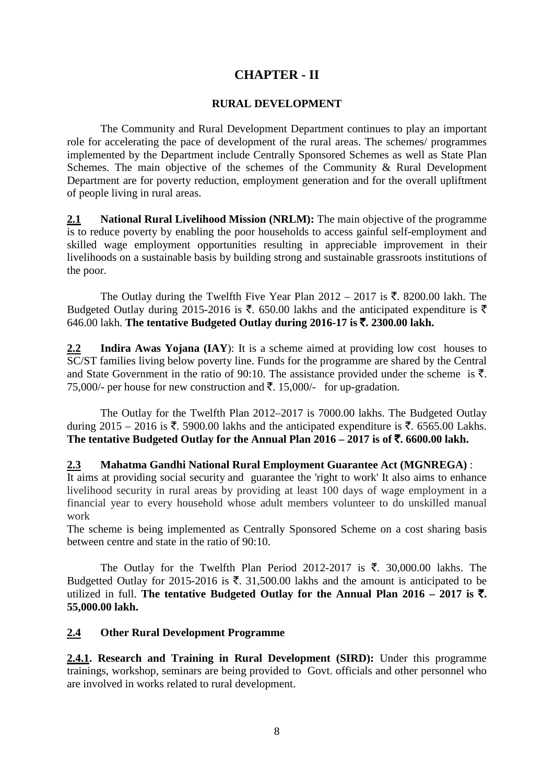# **CHAPTER - II**

### **RURAL DEVELOPMENT**

The Community and Rural Development Department continues to play an important role for accelerating the pace of development of the rural areas. The schemes/ programmes implemented by the Department include Centrally Sponsored Schemes as well as State Plan Schemes. The main objective of the schemes of the Community & Rural Development Department are for poverty reduction, employment generation and for the overall upliftment of people living in rural areas.

**2.1 National Rural Livelihood Mission (NRLM):** The main objective of the programme is to reduce poverty by enabling the poor households to access gainful self-employment and skilled wage employment opportunities resulting in appreciable improvement in their livelihoods on a sustainable basis by building strong and sustainable grassroots institutions of the poor.

The Outlay during the Twelfth Five Year Plan  $2012 - 2017$  is  $\overline{\tau}$ . 8200.00 lakh. The Budgeted Outlay during 2015-2016 is  $\bar{\tau}$ . 650.00 lakhs and the anticipated expenditure is  $\bar{\tau}$ 646.00 lakh. **The tentative Budgeted Outlay during 2016-17 is** `**. 2300.00 lakh.** 

**2.2 Indira Awas Yojana (IAY**): It is a scheme aimed at providing low cost houses to SC/ST families living below poverty line. Funds for the programme are shared by the Central and State Government in the ratio of 90:10. The assistance provided under the scheme is  $\bar{\tau}$ . 75,000/- per house for new construction and  $\bar{\tau}$ . 15,000/- for up-gradation.

The Outlay for the Twelfth Plan 2012–2017 is 7000.00 lakhs. The Budgeted Outlay during 2015 – 2016 is  $\bar{\xi}$ , 5900.00 lakhs and the anticipated expenditure is  $\bar{\xi}$ , 6565.00 Lakhs. The tentative Budgeted Outlay for the Annual Plan  $2016 - 2017$  is of  $\overline{\mathbf{z}}$ . 6600.00 lakh.

#### **2.3 Mahatma Gandhi National Rural Employment Guarantee Act (MGNREGA)** :

It aims at providing [social security](https://en.wikipedia.org/wiki/Social_security) and guarantee the ['right to work'](https://en.wikipedia.org/wiki/Right_to_work) It also aims to enhance livelihood security in rural areas by providing at least 100 days of wage employment in a financial year to every household whose adult members volunteer to do unskilled manual work

The scheme is being implemented as Centrally Sponsored Scheme on a cost sharing basis between centre and state in the ratio of 90:10.

The Outlay for the Twelfth Plan Period 2012-2017 is  $\bar{\tau}$ . 30,000.00 lakhs. The Budgetted Outlay for 2015-2016 is  $\bar{\tau}$ . 31,500.00 lakhs and the amount is anticipated to be utilized in full. The tentative Budgeted Outlay for the Annual Plan  $2016 - 2017$  is  $\overline{\tau}$ . **55,000.00 lakh.**

## **2.4 Other Rural Development Programme**

**2.4.1. Research and Training in Rural Development (SIRD):** Under this programme trainings, workshop, seminars are being provided to Govt. officials and other personnel who are involved in works related to rural development.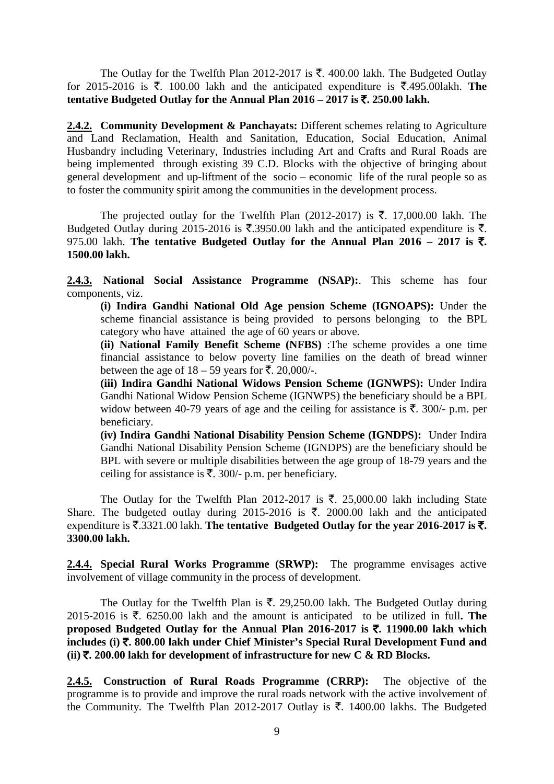The Outlay for the Twelfth Plan 2012-2017 is  $\bar{\tau}$ . 400.00 lakh. The Budgeted Outlay for 2015-2016 is  $\overline{\xi}$ . 100.00 lakh and the anticipated expenditure is  $\overline{\xi}$ .495.00lakh. **The tentative Budgeted Outlay for the Annual Plan**  $2016 - 2017$  **is**  $\overline{\xi}$ **, 250.00 lakh.** 

**2.4.2. Community Development & Panchayats:** Different schemes relating to Agriculture and Land Reclamation, Health and Sanitation, Education, Social Education, Animal Husbandry including Veterinary, Industries including Art and Crafts and Rural Roads are being implemented through existing 39 C.D. Blocks with the objective of bringing about general development and up-liftment of the socio – economic life of the rural people so as to foster the community spirit among the communities in the development process.

The projected outlay for the Twelfth Plan (2012-2017) is  $\bar{\tau}$ . 17,000.00 lakh. The Budgeted Outlay during 2015-2016 is  $\overline{\mathfrak{F}}$ . 3950.00 lakh and the anticipated expenditure is  $\overline{\mathfrak{F}}$ . 975.00 lakh. The tentative Budgeted Outlay for the Annual Plan  $2016 - 2017$  is  $\bar{\tau}$ . **1500.00 lakh.** 

**2.4.3. National Social Assistance Programme (NSAP):**. This scheme has four components, viz.

**(i) Indira Gandhi National Old Age pension Scheme (IGNOAPS):** Under the scheme financial assistance is being provided to persons belonging to the BPL category who have attained the age of 60 years or above.

**(ii) National Family Benefit Scheme (NFBS)** :The scheme provides a one time financial assistance to below poverty line families on the death of bread winner between the age of  $18 - 59$  years for  $\overline{5}$ . 20,000/-.

**(iii) Indira Gandhi National Widows Pension Scheme (IGNWPS):** Under Indira Gandhi National Widow Pension Scheme (IGNWPS) the beneficiary should be a BPL widow between 40-79 years of age and the ceiling for assistance is  $\bar{\tau}$ . 300/- p.m. per beneficiary.

**(iv) Indira Gandhi National Disability Pension Scheme (IGNDPS):** Under Indira Gandhi National Disability Pension Scheme (IGNDPS) are the beneficiary should be BPL with severe or multiple disabilities between the age group of 18-79 years and the ceiling for assistance is  $\bar{\tau}$ . 300/- p.m. per beneficiary.

The Outlay for the Twelfth Plan 2012-2017 is  $\bar{\tau}$ . 25,000.00 lakh including State Share. The budgeted outlay during 2015-2016 is  $\overline{\xi}$ . 2000.00 lakh and the anticipated expenditure is  $\bar{\xi}$ .3321.00 lakh. **The tentative Budgeted Outlay for the year 2016-2017 is**  $\bar{\xi}$ **. 3300.00 lakh.**

**2.4.4. Special Rural Works Programme (SRWP):** The programme envisages active involvement of village community in the process of development.

The Outlay for the Twelfth Plan is  $\bar{\tau}$ . 29,250.00 lakh. The Budgeted Outlay during 2015-2016 is  $\bar{\tau}$ . 6250.00 lakh and the amount is anticipated to be utilized in full. The **proposed Budgeted Outlay for the Annual Plan 2016-2017 is** `**. 11900.00 lakh which includes (i)** `**. 800.00 lakh under Chief Minister's Special Rural Development Fund and (ii)** `**. 200.00 lakh for development of infrastructure for new C & RD Blocks.**

**2.4.5. Construction of Rural Roads Programme (CRRP):** The objective of the programme is to provide and improve the rural roads network with the active involvement of the Community. The Twelfth Plan 2012-2017 Outlay is  $\bar{\tau}$ . 1400.00 lakhs. The Budgeted